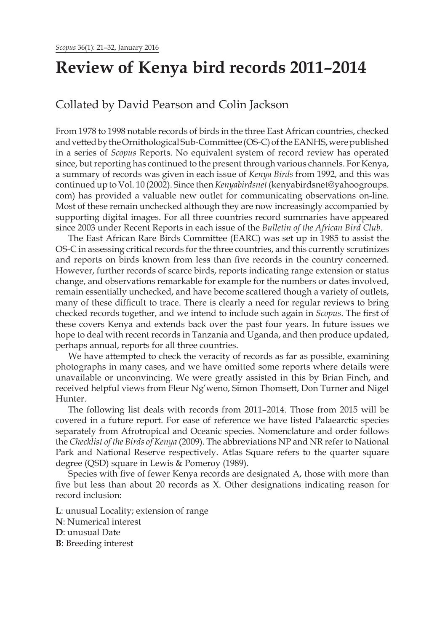# **Review of Kenya bird records 2011–2014**

# Collated by David Pearson and Colin Jackson

From 1978 to 1998 notable records of birds in the three East African countries, checked and vetted by the Ornithological Sub-Committee (OS-C) of the EANHS, were published in a series of *Scopus* Reports. No equivalent system of record review has operated since, but reporting has continued to the present through various channels. For Kenya, a summary of records was given in each issue of *Kenya Birds* from 1992, and this was continued up to Vol. 10 (2002). Since then *Kenyabirdsnet* (kenyabirdsnet@yahoogroups. com) has provided a valuable new outlet for communicating observations on-line. Most of these remain unchecked although they are now increasingly accompanied by supporting digital images. For all three countries record summaries have appeared since 2003 under Recent Reports in each issue of the *Bulletin of the African Bird Club*.

The East African Rare Birds Committee (EARC) was set up in 1985 to assist the OS-C in assessing critical records for the three countries, and this currently scrutinizes and reports on birds known from less than five records in the country concerned. However, further records of scarce birds, reports indicating range extension or status change, and observations remarkable for example for the numbers or dates involved, remain essentially unchecked, and have become scattered though a variety of outlets, many of these difficult to trace. There is clearly a need for regular reviews to bring checked records together, and we intend to include such again in *Scopus*. The first of these covers Kenya and extends back over the past four years. In future issues we hope to deal with recent records in Tanzania and Uganda, and then produce updated, perhaps annual, reports for all three countries.

We have attempted to check the veracity of records as far as possible, examining photographs in many cases, and we have omitted some reports where details were unavailable or unconvincing. We were greatly assisted in this by Brian Finch, and received helpful views from Fleur Ng'weno, Simon Thomsett, Don Turner and Nigel Hunter.

The following list deals with records from 2011–2014. Those from 2015 will be covered in a future report. For ease of reference we have listed Palaearctic species separately from Afrotropical and Oceanic species. Nomenclature and order follows the *Checklist of the Birds of Kenya* (2009). The abbreviations NP and NR refer to National Park and National Reserve respectively. Atlas Square refers to the quarter square degree (QSD) square in Lewis & Pomeroy (1989).

Species with five of fewer Kenya records are designated A, those with more than five but less than about 20 records as X. Other designations indicating reason for record inclusion:

**L**: unusual Locality; extension of range **N**: Numerical interest **D**: unusual Date

**B**: Breeding interest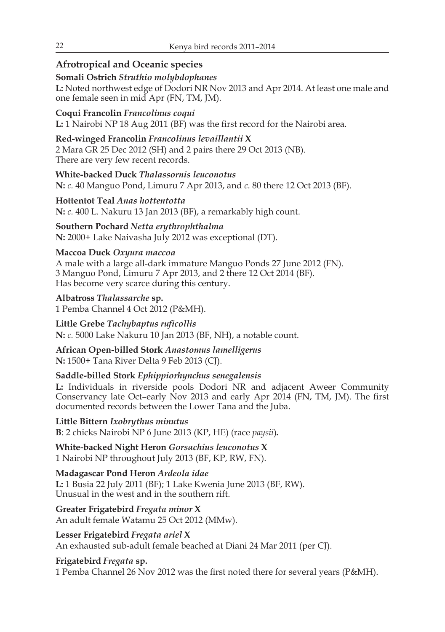# **Afrotropical and Oceanic species**

## **Somali Ostrich** *Struthio molybdophanes*

**L:** Noted northwest edge of Dodori NR Nov 2013 and Apr 2014. At least one male and one female seen in mid Apr (FN, TM, JM).

# **Coqui Francolin** *Francolinus coqui*

**L:** 1 Nairobi NP 18 Aug 2011 (BF) was the first record for the Nairobi area.

# **Red-winged Francolin** *Francolinus levaillantii* **X**

2 Mara GR 25 Dec 2012 (SH) and 2 pairs there 29 Oct 2013 (NB). There are very few recent records.

**White-backed Duck** *Thalassornis leuconotus* **N:** *c.* 40 Manguo Pond, Limuru 7 Apr 2013, and *c*. 80 there 12 Oct 2013 (BF).

**Hottentot Teal** *Anas hottentotta*  **N:** *c.* 400 L. Nakuru 13 Jan 2013 (BF), a remarkably high count.

**Southern Pochard** *Netta erythrophthalma* **N:** 2000+ Lake Naivasha July 2012 was exceptional (DT).

## **Maccoa Duck** *Oxyura maccoa*

A male with a large all-dark immature Manguo Ponds 27 June 2012 (FN). 3 Manguo Pond, Limuru 7 Apr 2013, and 2 there 12 Oct 2014 (BF). Has become very scarce during this century.

**Albatross** *Thalassarche* **sp.** 1 Pemba Channel 4 Oct 2012 (P&MH).

**Little Grebe** *Tachybaptus ruficollis* **N:** *c.* 5000 Lake Nakuru 10 Jan 2013 (BF, NH), a notable count.

## **African Open-billed Stork** *Anastomus lamelligerus* **N:** 1500+ Tana River Delta 9 Feb 2013 (CJ).

## **Saddle-billed Stork** *Ephippiorhynchus senegalensis*

**L:** Individuals in riverside pools Dodori NR and adjacent Aweer Community Conservancy late Oct–early Nov 2013 and early Apr 2014 (FN, TM, JM). The first documented records between the Lower Tana and the Juba.

**Little Bittern** *Ixobrythus minutus*  **B**: 2 chicks Nairobi NP 6 June 2013 (KP, HE) (race *paysii*)*.*

**White-backed Night Heron** *Gorsachius leuconotus* **X** 1 Nairobi NP throughout July 2013 (BF, KP, RW, FN).

**Madagascar Pond Heron** *Ardeola idae*

**L:** 1 Busia 22 July 2011 (BF); 1 Lake Kwenia June 2013 (BF, RW). Unusual in the west and in the southern rift.

**Greater Frigatebird** *Fregata minor* **X** An adult female Watamu 25 Oct 2012 (MMw).

# **Lesser Frigatebird** *Fregata ariel* **X**

An exhausted sub-adult female beached at Diani 24 Mar 2011 (per CJ).

# **Frigatebird** *Fregata* **sp.**

1 Pemba Channel 26 Nov 2012 was the first noted there for several years (P&MH).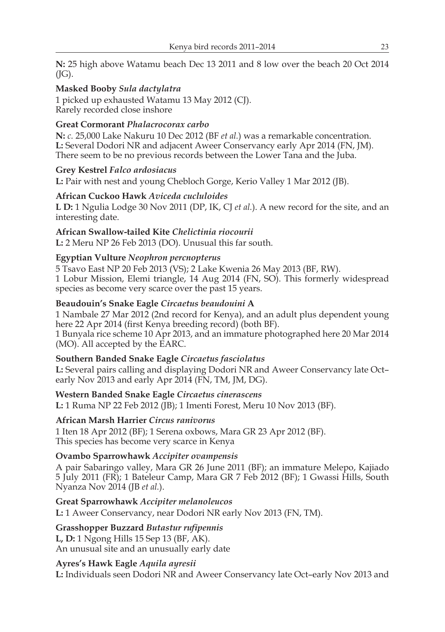**N:** 25 high above Watamu beach Dec 13 2011 and 8 low over the beach 20 Oct 2014  $(JG)$ .

#### **Masked Booby** *Sula dactylatra*

1 picked up exhausted Watamu 13 May 2012 (CJ). Rarely recorded close inshore

#### **Great Cormorant** *Phalacrocorax carbo*

**N:** *c.* 25,000 Lake Nakuru 10 Dec 2012 (BF *et al.*) was a remarkable concentration. **L:** Several Dodori NR and adjacent Aweer Conservancy early Apr 2014 (FN, JM). There seem to be no previous records between the Lower Tana and the Juba.

**Grey Kestrel** *Falco ardosiacus* **L:** Pair with nest and young Chebloch Gorge, Kerio Valley 1 Mar 2012 (JB).

#### **African Cuckoo Hawk** *Aviceda cucluloides*

**L D:** 1 Ngulia Lodge 30 Nov 2011 (DP, IK, CJ *et al.*). A new record for the site, and an interesting date.

#### **African Swallow-tailed Kite** *Chelictinia riocourii*

**L:** 2 Meru NP 26 Feb 2013 (DO). Unusual this far south.

#### **Egyptian Vulture** *Neophron percnopterus*

5 Tsavo East NP 20 Feb 2013 (VS); 2 Lake Kwenia 26 May 2013 (BF, RW). 1 Lobur Mission, Elemi triangle, 14 Aug 2014 (FN, SO). This formerly widespread species as become very scarce over the past 15 years.

#### **Beaudouin's Snake Eagle** *Circaetus beaudouini* **A**

1 Nambale 27 Mar 2012 (2nd record for Kenya), and an adult plus dependent young here 22 Apr 2014 (first Kenya breeding record) (both BF).

1 Bunyala rice scheme 10 Apr 2013, and an immature photographed here 20 Mar 2014 (MO). All accepted by the EARC.

#### **Southern Banded Snake Eagle** *Circaetus fasciolatus*

**L:** Several pairs calling and displaying Dodori NR and Aweer Conservancy late Oct– early Nov 2013 and early Apr 2014 (FN, TM, JM, DG).

#### **Western Banded Snake Eagle** *Circaetus cinerascens*

**L:** 1 Ruma NP 22 Feb 2012 (JB); 1 Imenti Forest, Meru 10 Nov 2013 (BF).

#### **African Marsh Harrier** *Circus ranivorus*

1 Iten 18 Apr 2012 (BF); 1 Serena oxbows, Mara GR 23 Apr 2012 (BF). This species has become very scarce in Kenya

#### **Ovambo Sparrowhawk** *Accipiter ovampensis*

A pair Sabaringo valley, Mara GR 26 June 2011 (BF); an immature Melepo, Kajiado 5 July 2011 (FR); 1 Bateleur Camp, Mara GR 7 Feb 2012 (BF); 1 Gwassi Hills, South Nyanza Nov 2014 (JB *et al.*).

#### **Great Sparrowhawk** *Accipiter melanoleucos*

**L:** 1 Aweer Conservancy, near Dodori NR early Nov 2013 (FN, TM).

#### **Grasshopper Buzzard** *Butastur rufipennis*

**L, D:** 1 Ngong Hills 15 Sep 13 (BF, AK). An unusual site and an unusually early date

#### **Ayres's Hawk Eagle** *Aquila ayresii*

**L:** Individuals seen Dodori NR and Aweer Conservancy late Oct–early Nov 2013 and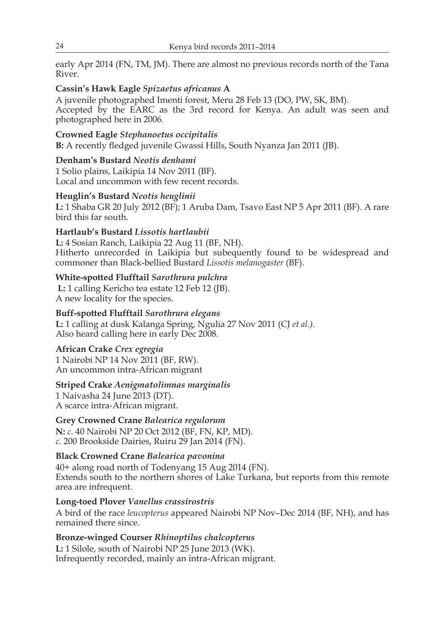early Apr 2014 (FN, TM, JM). There are almost no previous records north of the Tana River.

#### **Cassin's Hawk Eagle** *Spizaetus africanus* **A**

A juvenile photographed Imenti forest, Meru 28 Feb 13 (DO, PW, SK, BM). Accepted by the EARC as the 3rd record for Kenya. An adult was seen and photographed here in 2006.

## **Crowned Eagle** *Stephanoetus occipitalis*

**B:** A recently fledged juvenile Gwassi Hills, South Nyanza Jan 2011 (JB).

## **Denham's Bustard** *Neotis denhami*

1 Solio plains, Laikipia 14 Nov 2011 (BF). Local and uncommon with few recent records.

## **Heuglin's Bustard** *Neotis heuglinii*

**L:** 1 Shaba GR 20 July 2012 (BF); 1 Aruba Dam, Tsavo East NP 5 Apr 2011 (BF). A rare bird this far south.

## **Hartlaub's Bustard** *Lissotis hartlaubii*

**L:** 4 Sosian Ranch, Laikipia 22 Aug 11 (BF, NH). Hitherto unrecorded in Laikipia but subequently found to be widespread and commoner than Black-bellied Bustard *Lissotis melanogaster* (BF).

## **White-spotted Flufftail** *Sarothrura pulchra*

**L:** 1 calling Kericho tea estate 12 Feb 12 (JB). A new locality for the species.

## **Buff-spotted Flufftail** *Sarothrura elegans*

**L:** 1 calling at dusk Kalanga Spring, Ngulia 27 Nov 2011 (CJ *et al.).* Also heard calling here in early Dec 2008.

#### **African Crake** *Crex egregia*

1 Nairobi NP 14 Nov 2011 (BF, RW). An uncommon intra-African migrant

## **Striped Crake** *Aenigmatolimnas marginalis*

1 Naivasha 24 June 2013 (DT). A scarce intra-African migrant.

## **Grey Crowned Crane** *Balearica regulorum*

**N:** *c.* 40 Nairobi NP 20 Oct 2012 (BF, FN, KP, MD). *c.* 200 Brookside Dairies, Ruiru 29 Jan 2014 (FN).

#### **Black Crowned Crane** *Balearica pavonina*

40+ along road north of Todenyang 15 Aug 2014 (FN). Extends south to the northern shores of Lake Turkana, but reports from this remote area are infrequent.

#### **Long-toed Plover** *Vanellus crassirostris*

A bird of the race *leucopterus* appeared Nairobi NP Nov–Dec 2014 (BF, NH), and has remained there since.

## **Bronze-winged Courser** *Rhinoptilus chalcopterus*

**L:** 1 Silole, south of Nairobi NP 25 June 2013 (WK). Infrequently recorded, mainly an intra-African migrant.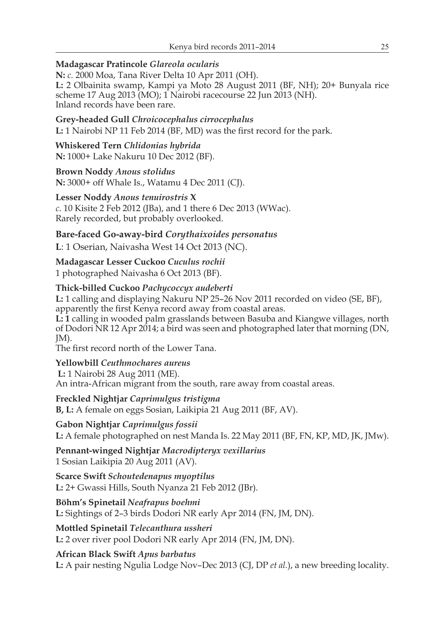## **Madagascar Pratincole** *Glareola ocularis*

**N:** *c.* 2000 Moa, Tana River Delta 10 Apr 2011 (OH). **L:** 2 Olbainita swamp, Kampi ya Moto 28 August 2011 (BF, NH); 20+ Bunyala rice scheme 17 Aug 2013 (MO); 1 Nairobi racecourse 22 Jun 2013 (NH). Inland records have been rare.

## **Grey-headed Gull** *Chroicocephalus cirrocephalus*

**L:** 1 Nairobi NP 11 Feb 2014 (BF, MD) was the first record for the park.

# **Whiskered Tern** *Chlidonias hybrida*

**N:** 1000+ Lake Nakuru 10 Dec 2012 (BF).

## **Brown Noddy** *Anous stolidus*

**N:** 3000+ off Whale Is., Watamu 4 Dec 2011 (CJ).

## **Lesser Noddy** *Anous tenuirostris* **X**

*c*. 10 Kisite 2 Feb 2012 (JBa), and 1 there 6 Dec 2013 (WWac). Rarely recorded, but probably overlooked.

## **Bare-faced Go-away-bird** *Corythaixoides personatus*

**L**: 1 Oserian, Naivasha West 14 Oct 2013 (NC).

## **Madagascar Lesser Cuckoo** *Cuculus rochii*

1 photographed Naivasha 6 Oct 2013 (BF).

## **Thick-billed Cuckoo** *Pachycoccyx audeberti*

**L:** 1 calling and displaying Nakuru NP 25–26 Nov 2011 recorded on video (SE, BF), apparently the first Kenya record away from coastal areas.

**L: 1** calling in wooded palm grasslands between Basuba and Kiangwe villages, north of Dodori NR 12 Apr 2014; a bird was seen and photographed later that morning (DN, JM).

The first record north of the Lower Tana.

#### **Yellowbill** *Ceuthmochares aureus*

**L:** 1 Nairobi 28 Aug 2011 (ME). An intra-African migrant from the south, rare away from coastal areas.

#### **Freckled Nightjar** *Caprimulgus tristigma*

**B, L:** A female on eggs Sosian, Laikipia 21 Aug 2011 (BF, AV).

#### **Gabon Nightjar** *Caprimulgus fossii*

**L:** A female photographed on nest Manda Is. 22 May 2011 (BF, FN, KP, MD, JK, JMw).

**Pennant-winged Nightjar** *Macrodipteryx vexillarius* 1 Sosian Laikipia 20 Aug 2011 (AV).

# **Scarce Swift** *Schoutedenapus myoptilus*

**L:** 2+ Gwassi Hills, South Nyanza 21 Feb 2012 (JBr).

## **Böhm's Spinetail** *Neafrapus boehmi*

**L:** Sightings of 2–3 birds Dodori NR early Apr 2014 (FN, JM, DN).

#### **Mottled Spinetail** *Telecanthura ussheri*

**L:** 2 over river pool Dodori NR early Apr 2014 (FN, JM, DN).

## **African Black Swift** *Apus barbatus*

**L:** A pair nesting Ngulia Lodge Nov–Dec 2013 (CJ, DP *et al.*), a new breeding locality.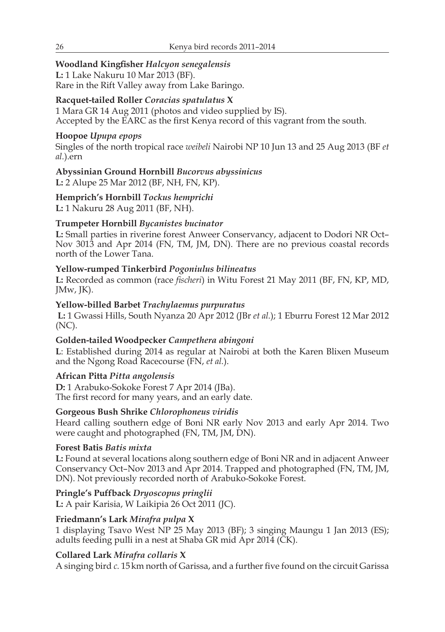## **Woodland Kingfisher** *Halcyon senegalensis*

**L:** 1 Lake Nakuru 10 Mar 2013 (BF). Rare in the Rift Valley away from Lake Baringo.

## **Racquet-tailed Roller** *Coracias spatulatus* **X**

1 Mara GR 14 Aug 2011 (photos and video supplied by IS). Accepted by the EARC as the first Kenya record of this vagrant from the south.

## **Hoopoe** *Upupa epops*

Singles of the north tropical race *weibeli* Nairobi NP 10 Jun 13 and 25 Aug 2013 (BF *et al.*).ern

# **Abyssinian Ground Hornbill** *Bucorvus abyssinicus*

**L:** 2 Alupe 25 Mar 2012 (BF, NH, FN, KP).

**Hemprich's Hornbill** *Tockus hemprichi* **L:** 1 Nakuru 28 Aug 2011 (BF, NH).

## **Trumpeter Hornbill** *Bycanistes bucinator*

**L:** Small parties in riverine forest Anweer Conservancy, adjacent to Dodori NR Oct– Nov 3013 and Apr 2014 (FN, TM, JM, DN). There are no previous coastal records north of the Lower Tana.

## **Yellow-rumped Tinkerbird** *Pogoniulus bilineatus*

**L:** Recorded as common (race *fischeri*) in Witu Forest 21 May 2011 (BF, FN, KP, MD, JMw, JK).

## **Yellow-billed Barbet** *Trachylaemus purpuratus*

**L:** 1 Gwassi Hills, South Nyanza 20 Apr 2012 (JBr *et al.*); 1 Eburru Forest 12 Mar 2012 (NC).

## **Golden-tailed Woodpecker** *Campethera abingoni*

**L**: Established during 2014 as regular at Nairobi at both the Karen Blixen Museum and the Ngong Road Racecourse (FN, *et al.*).

## **African Pitta** *Pitta angolensis*

**D:** 1 Arabuko-Sokoke Forest 7 Apr 2014 (JBa). The first record for many years, and an early date.

## **Gorgeous Bush Shrike** *Chlorophoneus viridis*

Heard calling southern edge of Boni NR early Nov 2013 and early Apr 2014. Two were caught and photographed (FN, TM, JM, DN).

## **Forest Batis** *Batis mixta*

**L:** Found at several locations along southern edge of Boni NR and in adjacent Anweer Conservancy Oct–Nov 2013 and Apr 2014. Trapped and photographed (FN, TM, JM, DN). Not previously recorded north of Arabuko-Sokoke Forest.

## **Pringle's Puffback** *Dryoscopus pringlii*

**L:** A pair Karisia, W Laikipia 26 Oct 2011 (JC).

## **Friedmann's Lark** *Mirafra pulpa* **X**

1 displaying Tsavo West NP 25 May 2013 (BF); 3 singing Maungu 1 Jan 2013 (ES); adults feeding pulli in a nest at Shaba GR mid Apr 2014 (CK).

# **Collared Lark** *Mirafra collaris* **X**

A singing bird *c.* 15km north of Garissa, and a further five found on the circuit Garissa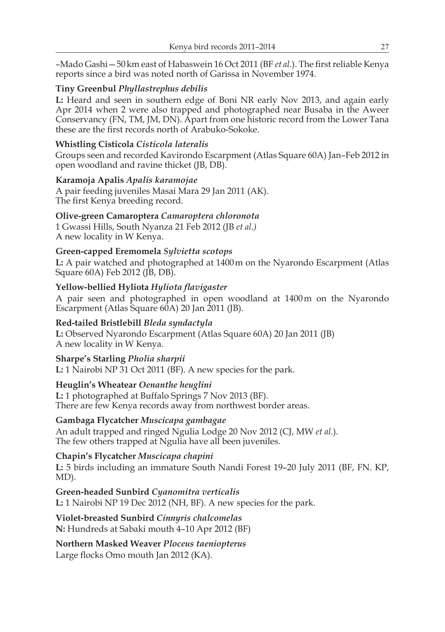–Mado Gashi—50km east of Habaswein 16 Oct 2011 (BF *et al*.). The first reliable Kenya reports since a bird was noted north of Garissa in November 1974.

## **Tiny Greenbul** *Phyllastrephus debilis*

**L:** Heard and seen in southern edge of Boni NR early Nov 2013, and again early Apr 2014 when 2 were also trapped and photographed near Busaba in the Aweer Conservancy (FN, TM, JM, DN). Apart from one historic record from the Lower Tana these are the first records north of Arabuko-Sokoke.

## **Whistling Cisticola** *Cisticola lateralis*

Groups seen and recorded Kavirondo Escarpment (Atlas Square 60A) Jan–Feb 2012 in open woodland and ravine thicket (JB, DB).

#### **Karamoja Apalis** *Apalis karamojae*

A pair feeding juveniles Masai Mara 29 Jan 2011 (AK). The first Kenya breeding record.

#### **Olive-green Camaroptera** *Camaroptera chloronota*

1 Gwassi Hills, South Nyanza 21 Feb 2012 (JB *et al.)* A new locality in W Kenya.

#### **Green-capped Eremomela** *Sylvietta scotops*

**L:** A pair watched and photographed at 1400m on the Nyarondo Escarpment (Atlas Square 60A) Feb 2012 (JB, DB).

#### **Yellow-bellied Hyliota** *Hyliota flavigaster*

A pair seen and photographed in open woodland at 1400m on the Nyarondo Escarpment (Atlas Square 60A) 20 Jan 2011 (JB).

#### **Red-tailed Bristlebill** *Bleda syndactyla*

**L:** Observed Nyarondo Escarpment (Atlas Square 60A) 20 Jan 2011 (JB) A new locality in W Kenya.

#### **Sharpe's Starling** *Pholia sharpii*

**L:** 1 Nairobi NP 31 Oct 2011 (BF). A new species for the park.

#### **Heuglin's Wheatear** *Oenanthe heuglini*

**L:** 1 photographed at Buffalo Springs 7 Nov 2013 (BF). There are few Kenya records away from northwest border areas.

#### **Gambaga Flycatcher** *Muscicapa gambagae*

An adult trapped and ringed Ngulia Lodge 20 Nov 2012 (CJ, MW *et al.*). The few others trapped at Ngulia have all been juveniles.

#### **Chapin's Flycatcher** *Muscicapa chapini*

**L:** 5 birds including an immature South Nandi Forest 19–20 July 2011 (BF, FN. KP, MD).

# **Green-headed Sunbird** *Cyanomitra verticalis*

**L:** 1 Nairobi NP 19 Dec 2012 (NH, BF). A new species for the park.

#### **Violet-breasted Sunbird** *Cinnyris chalcomelas* **N:** Hundreds at Sabaki mouth 4–10 Apr 2012 (BF)

# **Northern Masked Weaver** *Ploceus taeniopterus*

Large flocks Omo mouth Jan 2012 (KA).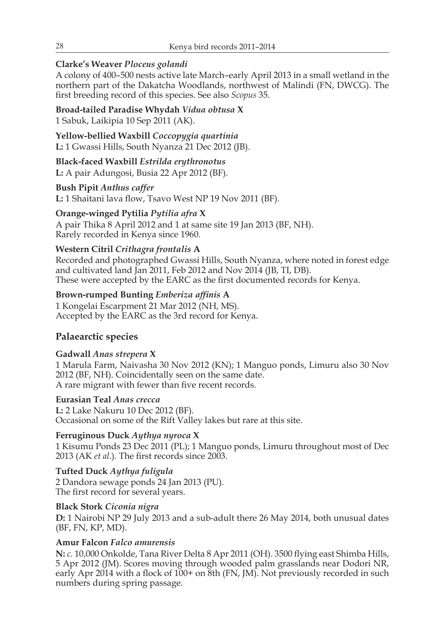## **Clarke's Weaver** *Ploceus golandi*

A colony of 400–500 nests active late March–early April 2013 in a small wetland in the northern part of the Dakatcha Woodlands, northwest of Malindi (FN, DWCG). The first breeding record of this species. See also *Scopus* 35.

**Broad-tailed Paradise Whydah** *Vidua obtusa* **X** 1 Sabuk, Laikipia 10 Sep 2011 (AK).

**Yellow-bellied Waxbill** *Coccopygia quartinia* **L:** 1 Gwassi Hills, South Nyanza 21 Dec 2012 (JB).

**Black-faced Waxbill** *Estrilda erythronotus* **L:** A pair Adungosi, Busia 22 Apr 2012 (BF).

**Bush Pipit** *Anthus caffer* **L:** 1 Shaitani lava flow, Tsavo West NP 19 Nov 2011 (BF).

**Orange-winged Pytilia** *Pytilia afra* **X** A pair Thika 8 April 2012 and 1 at same site 19 Jan 2013 (BF, NH). Rarely recorded in Kenya since 1960.

## **Western Citril** *Crithagra frontalis* **A**

Recorded and photographed Gwassi Hills, South Nyanza, where noted in forest edge and cultivated land Jan 2011, Feb 2012 and Nov 2014 (JB, TI, DB). These were accepted by the EARC as the first documented records for Kenya.

## **Brown-rumped Bunting** *Emberiza affinis* **A**

1 Kongelai Escarpment 21 Mar 2012 (NH, MS). Accepted by the EARC as the 3rd record for Kenya.

# **Palaearctic species**

#### **Gadwall** *Anas strepera* **X**

1 Marula Farm, Naivasha 30 Nov 2012 (KN); 1 Manguo ponds, Limuru also 30 Nov 2012 (BF, NH). Coincidentally seen on the same date. A rare migrant with fewer than five recent records.

**Eurasian Teal** *Anas crecca* **L:** 2 Lake Nakuru 10 Dec 2012 (BF). Occasional on some of the Rift Valley lakes but rare at this site.

#### **Ferruginous Duck** *Aythya nyroca* **X**

1 Kisumu Ponds 23 Dec 2011 (PL); 1 Manguo ponds, Limuru throughout most of Dec 2013 (AK *et al*.). The first records since 2003.

**Tufted Duck** *Aythya fuligula* 2 Dandora sewage ponds 24 Jan 2013 (PU). The first record for several years.

#### **Black Stork** *Ciconia nigra*

**D:** 1 Nairobi NP 29 July 2013 and a sub-adult there 26 May 2014, both unusual dates (BF, FN, KP, MD).

## **Amur Falcon** *Falco amurensis*

**N:** *c.* 10,000 Onkolde, Tana River Delta 8 Apr 2011 (OH). 3500 flying east Shimba Hills, 5 Apr 2012 (JM). Scores moving through wooded palm grasslands near Dodori NR, early Apr 2014 with a flock of 100+ on 8th (FN, JM). Not previously recorded in such numbers during spring passage.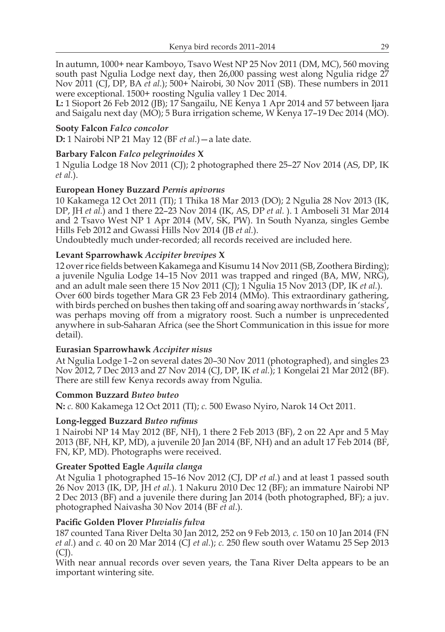In autumn, 1000+ near Kamboyo, Tsavo West NP 25 Nov 2011 (DM, MC), 560 moving south past Ngulia Lodge next day, then 26,000 passing west along Ngulia ridge 27 Nov 2011 (CJ, DP, BA *et al.*); 500+ Nairobi, 30 Nov 2011 (SB). These numbers in 2011 were exceptional. 1500+ roosting Ngulia valley 1 Dec 2014.

**L:** 1 Sioport 26 Feb 2012 (JB); 17 Sangailu, NE Kenya 1 Apr 2014 and 57 between Ijara and Saigalu next day (MO); 5 Bura irrigation scheme, W Kenya 17–19 Dec 2014 (MO).

#### **Sooty Falcon** *Falco concolor*

**D:** 1 Nairobi NP 21 May 12 (BF *et al*.)—a late date.

#### **Barbary Falcon** *Falco pelegrinoides* **X**

1 Ngulia Lodge 18 Nov 2011 (CJ); 2 photographed there 25–27 Nov 2014 (AS, DP, IK *et al.*).

#### **European Honey Buzzard** *Pernis apivorus*

10 Kakamega 12 Oct 2011 (TI); 1 Thika 18 Mar 2013 (DO); 2 Ngulia 28 Nov 2013 (IK, DP, JH *et al.*) and 1 there 22–23 Nov 2014 (IK, AS, DP *et al.* ). 1 Amboseli 31 Mar 2014 and 2 Tsavo West NP 1 Apr 2014 (MV, SK, PW). 1n South Nyanza, singles Gembe Hills Feb 2012 and Gwassi Hills Nov 2014 (JB *et al.*).

Undoubtedly much under-recorded; all records received are included here.

#### **Levant Sparrowhawk** *Accipiter brevipes* **X**

12 over rice fields between Kakamega and Kisumu 14 Nov 2011 (SB, Zoothera Birding); a juvenile Ngulia Lodge 14–15 Nov 2011 was trapped and ringed (BA, MW, NRG), and an adult male seen there 15 Nov 2011 (CJ); 1 Ngulia 15 Nov 2013 (DP, IK *et al.*). Over 600 birds together Mara GR 23 Feb 2014 (MMo). This extraordinary gathering, with birds perched on bushes then taking off and soaring away northwards in 'stacks', was perhaps moving off from a migratory roost. Such a number is unprecedented anywhere in sub-Saharan Africa (see the Short Communication in this issue for more detail).

#### **Eurasian Sparrowhawk** *Accipiter nisus*

At Ngulia Lodge 1–2 on several dates 20–30 Nov 2011 (photographed), and singles 23 Nov 2012, 7 Dec 2013 and 27 Nov 2014 (CJ, DP, IK *et al.*); 1 Kongelai 21 Mar 2012 (BF). There are still few Kenya records away from Ngulia.

#### **Common Buzzard** *Buteo buteo*

**N:** *c.* 800 Kakamega 12 Oct 2011 (TI); *c.* 500 Ewaso Nyiro, Narok 14 Oct 2011.

#### **Long-legged Buzzard** *Buteo rufinus*

1 Nairobi NP 14 May 2012 (BF, NH), 1 there 2 Feb 2013 (BF), 2 on 22 Apr and 5 May 2013 (BF, NH, KP, MD), a juvenile 20 Jan 2014 (BF, NH) and an adult 17 Feb 2014 (BF, FN, KP, MD). Photographs were received.

#### **Greater Spotted Eagle** *Aquila clanga*

At Ngulia 1 photographed 15–16 Nov 2012 (CJ, DP *et al.*) and at least 1 passed south 26 Nov 2013 (IK, DP, JH *et al.*). 1 Nakuru 2010 Dec 12 (BF); an immature Nairobi NP 2 Dec 2013 (BF) and a juvenile there during Jan 2014 (both photographed, BF); a juv. photographed Naivasha 30 Nov 2014 (BF *et al*.).

#### **Pacific Golden Plover** *Pluvialis fulva*

187 counted Tana River Delta 30 Jan 2012, 252 on 9 Feb 2013*, c.* 150 on 10 Jan 2014 (FN *et al.*) and *c.* 40 on 20 Mar 2014 (CJ *et al.*); *c.* 250 flew south over Watamu 25 Sep 2013  $(CJ)$ .

With near annual records over seven years, the Tana River Delta appears to be an important wintering site.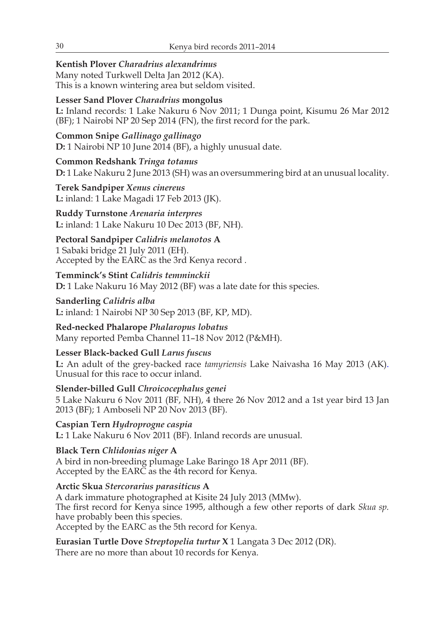# **Kentish Plover** *Charadrius alexandrinus*

Many noted Turkwell Delta Jan 2012 (KA). This is a known wintering area but seldom visited.

## **Lesser Sand Plover** *Charadrius* **mongolus**

**L:** Inland records: 1 Lake Nakuru 6 Nov 2011; 1 Dunga point, Kisumu 26 Mar 2012 (BF); 1 Nairobi NP 20 Sep 2014 (FN), the first record for the park.

**Common Snipe** *Gallinago gallinago* **D:** 1 Nairobi NP 10 June 2014 (BF), a highly unusual date.

**Common Redshank** *Tringa totanus* **D:** 1 Lake Nakuru 2 June 2013 (SH) was an oversummering bird at an unusual locality.

**Terek Sandpiper** *Xenus cinereus*  **L:** inland: 1 Lake Magadi 17 Feb 2013 (JK).

**Ruddy Turnstone** *Arenaria interpres* **L:** inland: 1 Lake Nakuru 10 Dec 2013 (BF, NH).

**Pectoral Sandpiper** *Calidris melanotos* **A** 1 Sabaki bridge 21 July 2011 (EH).

Accepted by the EARC as the 3rd Kenya record *.*

## **Temminck's Stint** *Calidris temminckii*

**D:** 1 Lake Nakuru 16 May 2012 (BF) was a late date for this species.

**Sanderling** *Calidris alba*  **L:** inland: 1 Nairobi NP 30 Sep 2013 (BF, KP, MD).

**Red-necked Phalarope** *Phalaropus lobatus*

Many reported Pemba Channel 11–18 Nov 2012 (P&MH).

## **Lesser Black-backed Gull** *Larus fuscus*

**L:** An adult of the grey-backed race *tamyriensis* Lake Naivasha 16 May 2013 (AK). Unusual for this race to occur inland.

**Slender-billed Gull** *Chroicocephalus genei* 5 Lake Nakuru 6 Nov 2011 (BF, NH), 4 there 26 Nov 2012 and a 1st year bird 13 Jan 2013 (BF); 1 Amboseli NP 20 Nov 2013 (BF).

**Caspian Tern** *Hydroprogne caspia* **L:** 1 Lake Nakuru 6 Nov 2011 (BF). Inland records are unusual.

**Black Tern** *Chlidonias niger* **A** A bird in non-breeding plumage Lake Baringo 18 Apr 2011 (BF).

Accepted by the EARC as the 4th record for Kenya.

**Arctic Skua** *Stercorarius parasiticus* **A**

A dark immature photographed at Kisite 24 July 2013 (MMw). The first record for Kenya since 1995, although a few other reports of dark *Skua sp.* have probably been this species. Accepted by the EARC as the 5th record for Kenya.

**Eurasian Turtle Dove** *Streptopelia turtur* **X** 1 Langata 3 Dec 2012 (DR).

There are no more than about 10 records for Kenya.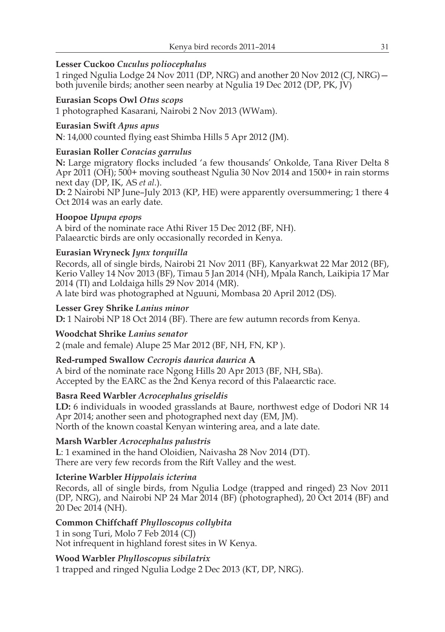## **Lesser Cuckoo** *Cuculus poliocephalus*

1 ringed Ngulia Lodge 24 Nov 2011 (DP, NRG) and another 20 Nov 2012 (CJ, NRG) both juvenile birds; another seen nearby at Ngulia 19 Dec 2012 (DP, PK, JV)

## **Eurasian Scops Owl** *Otus scops*

1 photographed Kasarani, Nairobi 2 Nov 2013 (WWam).

## **Eurasian Swift** *Apus apus*

**N**: 14,000 counted flying east Shimba Hills 5 Apr 2012 (JM).

## **Eurasian Roller** *Coracias garrulus*

**N:** Large migratory flocks included 'a few thousands' Onkolde, Tana River Delta 8 Apr 2011 (OH); 500+ moving southeast Ngulia 30 Nov 2014 and 1500+ in rain storms next day (DP, IK, AS *et al.*).

**D:** 2 Nairobi NP June–July 2013 (KP, HE) were apparently oversummering; 1 there 4 Oct 2014 was an early date.

## **Hoopoe** *Upupa epops*

A bird of the nominate race Athi River 15 Dec 2012 (BF, NH). Palaearctic birds are only occasionally recorded in Kenya.

## **Eurasian Wryneck** *Jynx torquilla*

Records, all of single birds, Nairobi 21 Nov 2011 (BF), Kanyarkwat 22 Mar 2012 (BF), Kerio Valley 14 Nov 2013 (BF), Timau 5 Jan 2014 (NH), Mpala Ranch, Laikipia 17 Mar 2014 (TI) and Loldaiga hills 29 Nov 2014 (MR).

A late bird was photographed at Nguuni, Mombasa 20 April 2012 (DS).

#### **Lesser Grey Shrike** *Lanius minor*

**D:** 1 Nairobi NP 18 Oct 2014 (BF). There are few autumn records from Kenya.

#### **Woodchat Shrike** *Lanius senator*

2 (male and female) Alupe 25 Mar 2012 (BF, NH, FN, KP ).

## **Red-rumped Swallow** *Cecropis daurica daurica* **A**

A bird of the nominate race Ngong Hills 20 Apr 2013 (BF, NH, SBa). Accepted by the EARC as the 2nd Kenya record of this Palaearctic race.

## **Basra Reed Warbler** *Acrocephalus griseldis*

**LD:** 6 individuals in wooded grasslands at Baure, northwest edge of Dodori NR 14 Apr 2014; another seen and photographed next day (EM, JM). North of the known coastal Kenyan wintering area, and a late date.

#### **Marsh Warbler** *Acrocephalus palustris*

**L**: 1 examined in the hand Oloidien, Naivasha 28 Nov 2014 (DT). There are very few records from the Rift Valley and the west.

## **Icterine Warbler** *Hippolais icterina*

Records, all of single birds, from Ngulia Lodge (trapped and ringed) 23 Nov 2011 (DP, NRG), and Nairobi NP 24 Mar 2014 (BF) (photographed), 20 Oct 2014 (BF) and 20 Dec 2014 (NH).

## **Common Chiffchaff** *Phylloscopus collybita*

1 in song Turi, Molo 7 Feb 2014 (CJ) Not infrequent in highland forest sites in W Kenya.

## **Wood Warbler** *Phylloscopus sibilatrix*

1 trapped and ringed Ngulia Lodge 2 Dec 2013 (KT, DP, NRG).